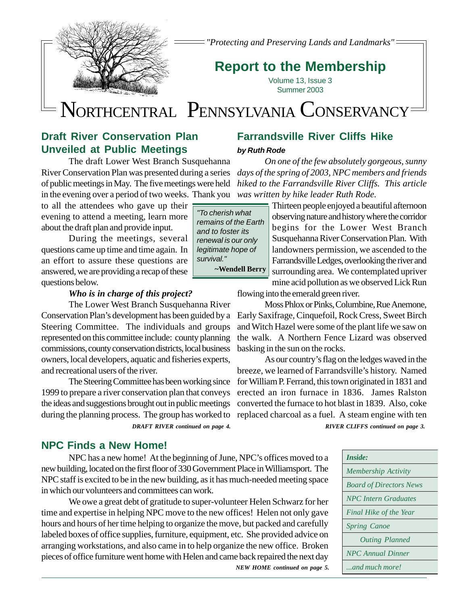

*"Protecting and Preserving Lands and Landmarks"*

# **Report to the Membership**

Volume 13, Issue 3 Summer 2003

# N**N**ORTHCENTRAL PENNSYLVANIA CONSERVANCY

# **Draft River Conservation Plan Unveiled at Public Meetings**

The draft Lower West Branch Susquehanna River Conservation Plan was presented during a series of public meetings in May. The five meetings were held in the evening over a period of two weeks. Thank you

to all the attendees who gave up their  $\equiv$ evening to attend a meeting, learn more about the draft plan and provide input.

During the meetings, several questions came up time and time again. In an effort to assure these questions are answered, we are providing a recap of these questions below.

### *Who is in charge of this project?*

The Lower West Branch Susquehanna River Conservation Plan's development has been guided by a Steering Committee. The individuals and groups represented on this committee include: county planning commissions, county conservation districts, local business owners, local developers, aquatic and fisheries experts, and recreational users of the river.

The Steering Committee has been working since 1999 to prepare a river conservation plan that conveys the ideas and suggestions brought out in public meetings

### **NPC Finds a New Home!**

NPC has a new home! At the beginning of June, NPC's offices moved to a new building, located on the first floor of 330 Government Place in Williamsport. The NPC staff is excited to be in the new building, as it has much-needed meeting space in which our volunteers and committees can work.

We owe a great debt of gratitude to super-volunteer Helen Schwarz for her time and expertise in helping NPC move to the new offices! Helen not only gave hours and hours of her time helping to organize the move, but packed and carefully labeled boxes of office supplies, furniture, equipment, etc. She provided advice on arranging workstations, and also came in to help organize the new office. Broken pieces of office furniture went home with Helen and came back repaired the next day *NEW HOME continued on page 5.*

# **Farrandsville River Cliffs Hike**

### *by Ruth Rode*

*On one of the few absolutely gorgeous, sunny days of the spring of 2003, NPC members and friends hiked to the Farrandsville River Cliffs. This article was written by hike leader Ruth Rode.*

> Thirteen people enjoyed a beautiful afternoon observing nature and history where the corridor begins for the Lower West Branch Susquehanna River Conservation Plan. With landowners permission, we ascended to the Farrandsville Ledges, overlooking the river and surrounding area. We contemplated upriver mine acid pollution as we observed Lick Run

flowing into the emerald green river.

Moss Phlox or Pinks, Columbine, Rue Anemone, Early Saxifrage, Cinquefoil, Rock Cress, Sweet Birch and Witch Hazel were some of the plant life we saw on the walk. A Northern Fence Lizard was observed basking in the sun on the rocks.

As our country's flag on the ledges waved in the breeze, we learned of Farrandsville's history. Named for William P. Ferrand, this town originated in 1831 and erected an iron furnace in 1836. James Ralston converted the furnace to hot blast in 1839. Also, coke during the planning process. The group has worked to replaced charcoal as a fuel. A steam engine with ten *DRAFT RIVER continued on page 4. RIVER CLIFFS continued on page 3.*

| Inside:                        |
|--------------------------------|
| <b>Membership Activity</b>     |
| <b>Board of Directors News</b> |
| <b>NPC</b> Intern Graduates    |
| Final Hike of the Year         |
| <b>Spring Canoe</b>            |
| <b>Outing Planned</b>          |
| <b>NPC</b> Annual Dinner       |
| and much more!                 |

| "To cherish what     |
|----------------------|
| remains of the Earth |
| and to foster its    |
| renewal is our only  |
| legitimate hope of   |
| survival."           |
| ~Wendell Berry       |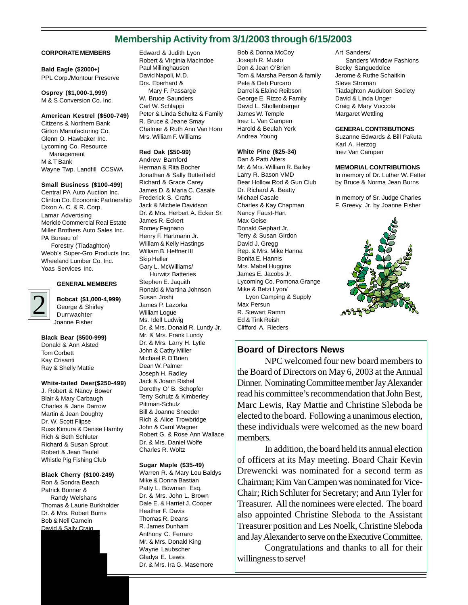# **Membership Activity from 3/1/2003 through 6/15/2003**

#### **CORPORATE MEMBERS**

### **Bald Eagle (\$2000+)**

PPL Corp./Montour Preserve

**Osprey (\$1,000-1,999)** M & S Conversion Co. Inc.

**American Kestrel (\$500-749)**

Citizens & Northern Bank Girton Manufacturing Co. Glenn O. Hawbaker Inc. Lycoming Co. Resource Management M & T Bank Wayne Twp. Landfill CCSWA

#### **Small Business (\$100-499)**

Central PA Auto Auction Inc. Clinton Co. Economic Partnership Dixon A. C. & R. Corp. Lamar Advertising Mericle Commercial Real Estate Miller Brothers Auto Sales Inc. PA Bureau of Forestry (Tiadaghton)

Webb's Super-Gro Products Inc. Wheeland Lumber Co. Inc. Yoas Services Inc.

#### **GENERAL MEMBERS**

**Bobcat (\$1,000-4,999)** George & Shirley Durrwachter Joanne Fisher

**Black Bear (\$500-999)** Donald & Ann Alsted Tom Corbett Kay Crisanti Ray & Shelly Mattie

2

#### **White-tailed Deer(\$250-499)**

J. Robert & Nancy Bower Blair & Mary Carbaugh Charles & Jane Darrow Martin & Jean Doughty Dr. W. Scott Flipse Russ Kimura & Denise Hamby Rich & Beth Schluter Richard & Susan Sprout Robert & Jean Teufel Whistle Pig Fishing Club

#### **Black Cherry (\$100-249)**

Ron & Sondra Beach Patrick Bonner & Randy Welshans Thomas & Laurie Burkholder Dr. & Mrs. Robert Burns Bob & Nell Carnein David & Sally Craig

Doug & Frani Doherty

Edward & Judith Lyon Robert & Virginia MacIndoe Paul Millinghausen David Napoli, M.D. Drs. Eberhard & Mary F. Passarge W. Bruce Saunders Carl W. Schlappi Peter & Linda Schultz & Family R. Bruce & Jeane Smay Chalmer & Ruth Ann Van Horn Mrs. William F. Williams

#### **Red Oak (\$50-99)**

Andrew Bamford Herman & Rita Bocher Jonathan & Sally Butterfield Richard & Grace Carey James D. & Maria C. Casale Frederick S. Crafts Jack & Michele Davidson Dr. & Mrs. Herbert A. Ecker Sr. James R. Eckert Romey Fagnano Henry F. Hartmann Jr. William & Kelly Hastings William B. Heffner III Skip Heller Gary L. McWilliams/ Hurwitz Batteries Stephen E. Jaquith Ronald & Martina Johnson Susan Joshi James P. Lazorka William Logue Ms. Idell Ludwig Dr. & Mrs. Donald R. Lundy Jr. Mr. & Mrs. Frank Lundy Dr. & Mrs. Larry H. Lytle John & Cathy Miller Michael P. O'Brien Dean W. Palmer Joseph H. Radley Jack & Joann Rishel Dorothy O' B. Schopfer Terry Schulz & Kimberley Pittman-Schulz Bill & Joanne Sneeder Rich & Alice Trowbridge John & Carol Wagner Robert G. & Rose Ann Wallace Dr. & Mrs. Daniel Wolfe Charles R. Woltz

#### **Sugar Maple (\$35-49)**

Warren R. & Mary Lou Baldys Mike & Donna Bastian Patty L. Bowman Esq. Dr. & Mrs. John L. Brown Dale E. & Harriet J. Cooper Heather F. Davis Thomas R. Deans R. James Dunham Anthony C. Ferraro Mr. & Mrs. Donald King Wayne Laubscher Gladys E. Lewis Dr. & Mrs. Ira G. Masemore

Bob & Donna McCoy Joseph R. Musto Don & Jean O'Brien Tom & Marsha Person & family Pete & Deb Purcaro Darrel & Elaine Reibson George E. Rizzo & Family David L. Shollenberger James W. Temple Inez L. Van Campen Harold & Beulah Yerk Andrea Young

#### **White Pine (\$25-34)**

Dan & Patti Alters Mr. & Mrs. William R. Bailey Larry R. Bason VMD Bear Hollow Rod & Gun Club Dr. Richard A. Beatty Michael Casale Charles & Kay Chapman Nancy Faust-Hart Max Geise Donald Gephart Jr. Terry & Susan Girdon David J. Gregg Rep. & Mrs. Mike Hanna Bonita E. Hannis Mrs. Mabel Huggins James E. Jacobs Jr. Lycoming Co. Pomona Grange Mike & Betzi Lyon/ Lyon Camping & Supply Max Persun R. Stewart Ramm Ed & Tink Reish Clifford A. Rieders

Art Sanders/ Sanders Window Fashions Becky Sanguedolce Jerome & Ruthe Schaitkin Steve Stroman Tiadaghton Audubon Society David & Linda Unger Craig & Mary Vuccola Margaret Wettling

#### **GENERAL CONTRIBUTIONS**

Suzanne Edwards & Bill Pakuta Karl A. Herzog Inez Van Campen

#### **MEMORIAL CONTRIBUTIONS**

In memory of Dr. Luther W. Fetter by Bruce & Norma Jean Burns

In memory of Sr. Judge Charles F. Greevy, Jr. by Joanne Fisher



### **Board of Directors News**

NPC welcomed four new board members to the Board of Directors on May 6, 2003 at the Annual Dinner. Nominating Committee member Jay Alexander read his committee's recommendation that John Best, Marc Lewis, Ray Mattie and Christine Sleboda be elected to the board. Following a unanimous election, these individuals were welcomed as the new board members.

In addition, the board held its annual election of officers at its May meeting. Board Chair Kevin Drewencki was nominated for a second term as Chairman; Kim Van Campen was nominated for Vice-Chair; Rich Schluter for Secretary; and Ann Tyler for Treasurer. All the nominees were elected. The board also appointed Christine Sleboda to the Assistant Treasurer position and Les Noelk, Christine Sleboda and Jay Alexander to serve on the Executive Committee.

Congratulations and thanks to all for their willingness to serve!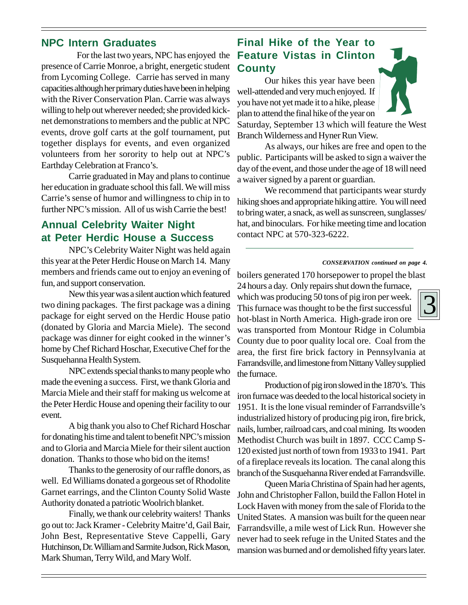# **NPC Intern Graduates**

 For the last two years, NPC has enjoyed the presence of Carrie Monroe, a bright, energetic student from Lycoming College. Carrie has served in many capacities although her primary duties have been in helping with the River Conservation Plan. Carrie was always willing to help out wherever needed; she provided kicknet demonstrations to members and the public at NPC events, drove golf carts at the golf tournament, put together displays for events, and even organized volunteers from her sorority to help out at NPC's Earthday Celebration at Franco's.

Carrie graduated in May and plans to continue her education in graduate school this fall. We will miss Carrie's sense of humor and willingness to chip in to further NPC's mission. All of us wish Carrie the best!

# **Annual Celebrity Waiter Night at Peter Herdic House a Success**

NPC's Celebrity Waiter Night was held again this year at the Peter Herdic House on March 14. Many members and friends came out to enjoy an evening of fun, and support conservation.

New this year was a silent auction which featured two dining packages. The first package was a dining package for eight served on the Herdic House patio (donated by Gloria and Marcia Miele). The second package was dinner for eight cooked in the winner's home by Chef Richard Hoschar, Executive Chef for the Susquehanna Health System.

NPC extends special thanks to many people who made the evening a success. First, we thank Gloria and Marcia Miele and their staff for making us welcome at the Peter Herdic House and opening their facility to our event.

A big thank you also to Chef Richard Hoschar for donating his time and talent to benefit NPC's mission and to Gloria and Marcia Miele for their silent auction donation. Thanks to those who bid on the items!

Thanks to the generosity of our raffle donors, as well. Ed Williams donated a gorgeous set of Rhodolite Garnet earrings, and the Clinton County Solid Waste Authority donated a patriotic Woolrich blanket.

Finally, we thank our celebrity waiters! Thanks go out to: Jack Kramer - Celebrity Maitre'd, Gail Bair, John Best, Representative Steve Cappelli, Gary Hutchinson, Dr. William and Sarmite Judson, Rick Mason, Mark Shuman, Terry Wild, and Mary Wolf.

# **Final Hike of the Year to Feature Vistas in Clinton County**

Our hikes this year have been well-attended and very much enjoyed. If you have not yet made it to a hike, please plan to attend the final hike of the year on Saturday, September 13 which will feature the West Branch Wilderness and Hyner Run View.

As always, our hikes are free and open to the public. Participants will be asked to sign a waiver the day of the event, and those under the age of 18 will need a waiver signed by a parent or guardian.

We recommend that participants wear sturdy hiking shoes and appropriate hiking attire. You will need to bring water, a snack, as well as sunscreen, sunglasses/ hat, and binoculars. For hike meeting time and location contact NPC at 570-323-6222.

#### *CONSERVATION continued on page 4.*

boilers generated 170 horsepower to propel the blast 24 hours a day. Only repairs shut down the furnace,

which was producing 50 tons of pig iron per week. This furnace was thought to be the first successful hot-blast in North America. High-grade iron ore was transported from Montour Ridge in Columbia County due to poor quality local ore. Coal from the

area, the first fire brick factory in Pennsylvania at Farrandsville, and limestone from Nittany Valley supplied the furnace.

Production of pig iron slowed in the 1870's. This iron furnace was deeded to the local historical society in 1951. It is the lone visual reminder of Farrandsville's industrialized history of producing pig iron, fire brick, nails, lumber, railroad cars, and coal mining. Its wooden Methodist Church was built in 1897. CCC Camp S-120 existed just north of town from 1933 to 1941. Part of a fireplace reveals its location. The canal along this branch of the Susquehanna River ended at Farrandsville.

Queen Maria Christina of Spain had her agents, John and Christopher Fallon, build the Fallon Hotel in Lock Haven with money from the sale of Florida to the United States. A mansion was built for the queen near Farrandsville, a mile west of Lick Run. However she never had to seek refuge in the United States and the mansion was burned and or demolished fifty years later.

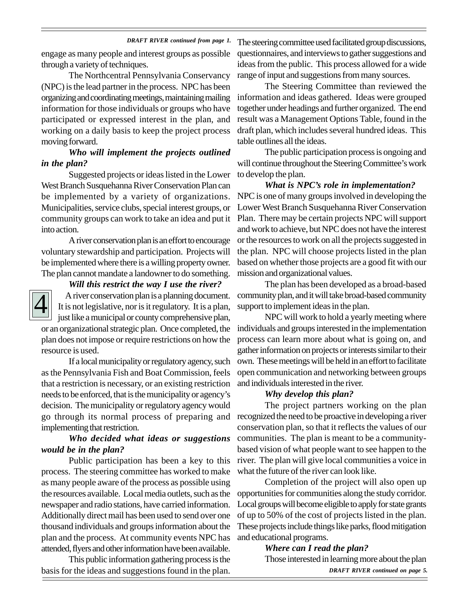#### *DRAFT RIVER continued from page 1.*

engage as many people and interest groups as possible through a variety of techniques.

The Northcentral Pennsylvania Conservancy (NPC) is the lead partner in the process. NPC has been organizing and coordinating meetings, maintaining mailing information for those individuals or groups who have participated or expressed interest in the plan, and working on a daily basis to keep the project process moving forward.

### *Who will implement the projects outlined in the plan?*

Suggested projects or ideas listed in the Lower West Branch Susquehanna River Conservation Plan can be implemented by a variety of organizations. Municipalities, service clubs, special interest groups, or community groups can work to take an idea and put it into action.

A river conservation plan is an effort to encourage voluntary stewardship and participation. Projects will be implemented where there is a willing property owner. The plan cannot mandate a landowner to do something.

### *Will this restrict the way I use the river?*

4

 A river conservation plan is a planning document. It is not legislative, nor is it regulatory. It is a plan, just like a municipal or county comprehensive plan, or an organizational strategic plan. Once completed, the plan does not impose or require restrictions on how the resource is used.

If a local municipality or regulatory agency, such as the Pennsylvania Fish and Boat Commission, feels that a restriction is necessary, or an existing restriction needs to be enforced, that is the municipality or agency's decision. The municipality or regulatory agency would go through its normal process of preparing and implementing that restriction.

### *Who decided what ideas or suggestions would be in the plan?*

Public participation has been a key to this process. The steering committee has worked to make as many people aware of the process as possible using the resources available. Local media outlets, such as the newspaper and radio stations, have carried information. Additionally direct mail has been used to send over one thousand individuals and groups information about the plan and the process. At community events NPC has attended, flyers and other information have been available.

This public information gathering process is the basis for the ideas and suggestions found in the plan.

The steering committee used facilitated group discussions, questionnaires, and interviews to gather suggestions and ideas from the public. This process allowed for a wide range of input and suggestions from many sources.

The Steering Committee than reviewed the information and ideas gathered. Ideas were grouped together under headings and further organized. The end result was a Management Options Table, found in the draft plan, which includes several hundred ideas. This table outlines all the ideas.

The public participation process is ongoing and will continue throughout the Steering Committee's work to develop the plan.

*What is NPC's role in implementation?* NPC is one of many groups involved in developing the Lower West Branch Susquehanna River Conservation Plan. There may be certain projects NPC will support and work to achieve, but NPC does not have the interest or the resources to work on all the projects suggested in the plan. NPC will choose projects listed in the plan based on whether those projects are a good fit with our mission and organizational values.

The plan has been developed as a broad-based community plan, and it will take broad-based community support to implement ideas in the plan.

NPC will work to hold a yearly meeting where individuals and groups interested in the implementation process can learn more about what is going on, and gather information on projects or interests similar to their own. These meetings will be held in an effort to facilitate open communication and networking between groups and individuals interested in the river.

#### *Why develop this plan?*

The project partners working on the plan recognized the need to be proactive in developing a river conservation plan, so that it reflects the values of our communities. The plan is meant to be a communitybased vision of what people want to see happen to the river. The plan will give local communities a voice in what the future of the river can look like.

Completion of the project will also open up opportunities for communities along the study corridor. Local groups will become eligible to apply for state grants of up to 50% of the cost of projects listed in the plan. These projects include things like parks, flood mitigation and educational programs.

> *Where can I read the plan?* Those interested in learning more about the plan *DRAFT RIVER continued on page 5.*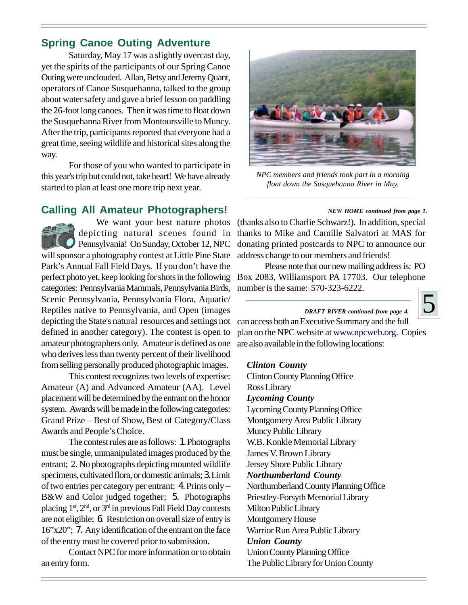# **Spring Canoe Outing Adventure**

Saturday, May 17 was a slightly overcast day, yet the spirits of the participants of our Spring Canoe Outing were unclouded. Allan, Betsy and Jeremy Quant, operators of Canoe Susquehanna, talked to the group about water safety and gave a brief lesson on paddling the 26-foot long canoes. Then it was time to float down the Susquehanna River from Montoursville to Muncy. After the trip, participants reported that everyone had a great time, seeing wildlife and historical sites along the way.

For those of you who wanted to participate in this year's trip but could not, take heart! We have already started to plan at least one more trip next year.

# **Calling All Amateur Photographers!**

We want your best nature photos depicting natural scenes found in Pennsylvania! On Sunday, October 12, NPC will sponsor a photography contest at Little Pine State Park's Annual Fall Field Days. If you don't have the perfect photo yet, keep looking for shots in the following categories: Pennsylvania Mammals, Pennsylvania Birds, Scenic Pennsylvania, Pennsylvania Flora, Aquatic/ Reptiles native to Pennsylvania, and Open (images depicting the State's natural resources and settings not defined in another category). The contest is open to amateur photographers only. Amateur is defined as one who derives less than twenty percent of their livelihood from selling personally produced photographic images.

This contest recognizes two levels of expertise: Amateur (A) and Advanced Amateur (AA). Level placement will be determined by the entrant on the honor system. Awards will be made in the following categories: Grand Prize – Best of Show, Best of Category/Class Awards and People's Choice.

The contest rules are as follows: 1. Photographs must be single, unmanipulated images produced by the entrant; 2. No photographs depicting mounted wildlife specimens, cultivated flora, or domestic animals; 3. Limit of two entries per category per entrant; 4. Prints only – B&W and Color judged together; 5. Photographs placing  $1<sup>st</sup>$ ,  $2<sup>nd</sup>$ , or  $3<sup>rd</sup>$  in previous Fall Field Day contests are not eligible; 6. Restriction on overall size of entry is 16"x20"; 7. Any identification of the entrant on the face of the entry must be covered prior to submission.

Contact NPC for more information or to obtain an entry form.



*NPC members and friends took part in a morning float down the Susquehanna River in May.*

### *NEW HOME continued from page 1.*

(thanks also to Charlie Schwarz!). In addition, special thanks to Mike and Camille Salvatori at MAS for donating printed postcards to NPC to announce our address change to our members and friends!

Please note that our new mailing address is: PO Box 2083, Williamsport PA 17703. Our telephone number is the same: 570-323-6222.

can access both an Executive Summary and the full plan on the NPC website at www.npcweb.org. Copies *DRAFT RIVER continued from page 4.*



### *Clinton County*

Clinton County Planning Office Ross Library *Lycoming County* Lycoming County Planning Office Montgomery Area Public Library Muncy Public Library W.B. Konkle Memorial Library James V. Brown Library Jersey Shore Public Library *Northumberland County* Northumberland County Planning Office Priestley-Forsyth Memorial Library Milton Public Library Montgomery House Warrior Run Area Public Library *Union County* Union County Planning Office The Public Library for Union County

are also available in the following locations: